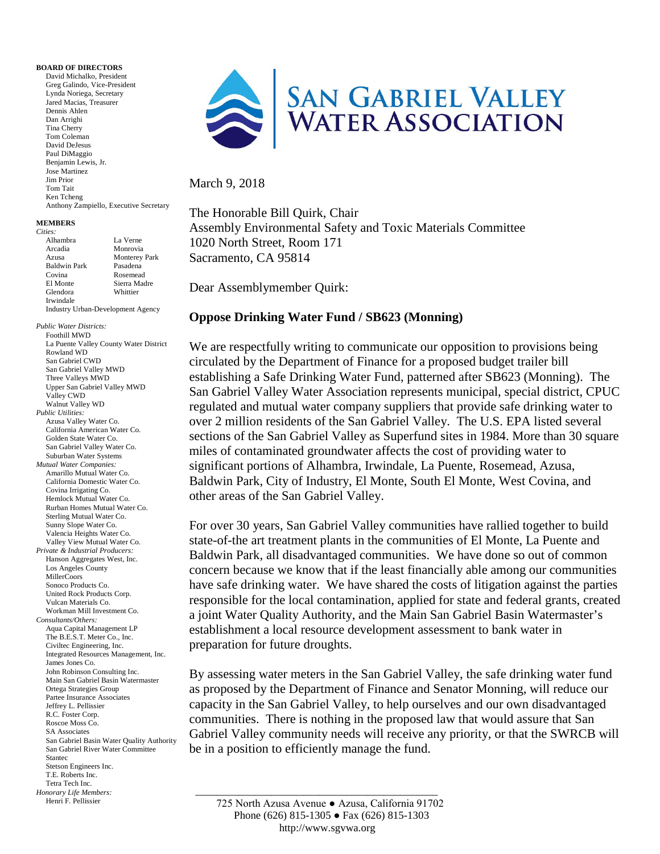## **BOARD OF DIRECTORS**

David Michalko, President Greg Galindo, Vice-President Lynda Noriega, Secretary Jared Macias, Treasurer Dennis Ahlen Dan Arrighi Tina Cherry Tom Coleman David DeJesus Paul DiMaggio Benjamin Lewis, Jr. Jose Martinez Jim Prior Tom Tait Ken Tcheng Anthony Zampiello, Executive Secretary

## **MEMBERS**

| Cities:                                  |                      |
|------------------------------------------|----------------------|
| Alhambra                                 | La Verne             |
| Arcadia                                  | Monrovia             |
| Azusa                                    | <b>Monterey Park</b> |
| <b>Baldwin Park</b>                      | Pasadena             |
| Covina                                   | Rosemead             |
| El Monte                                 | Sierra Madre         |
| Glendora                                 | Whittier             |
| Irwindale                                |                      |
| <b>Industry Urban-Development Agency</b> |                      |
|                                          |                      |

 \_\_\_\_\_\_\_\_\_\_\_\_\_\_\_\_\_\_\_\_\_\_\_\_\_\_\_\_\_\_\_\_\_\_\_\_\_\_\_\_\_\_\_\_\_ *Public Water Districts:* Foothill MWD La Puente Valley County Water District Rowland WD San Gabriel CWD San Gabriel Valley MWD Three Valleys MWD Upper San Gabriel Valley MWD Valley CWD Walnut Valley WD *Public Utilities:* Azusa Valley Water Co. California American Water Co. Golden State Water Co. San Gabriel Valley Water Co. Suburban Water Systems *Mutual Water Companies:* Amarillo Mutual Water Co. California Domestic Water Co. Covina Irrigating Co. Hemlock Mutual Water Co. Rurban Homes Mutual Water Co. Sterling Mutual Water Co. Sunny Slope Water Co. Valencia Heights Water Co. Valley View Mutual Water Co. *Private & Industrial Producers:* Hanson Aggregates West, Inc. Los Angeles County MillerCoors Sonoco Products Co. United Rock Products Corp. Vulcan Materials Co. Workman Mill Investment Co. *Consultants/Others:* Aqua Capital Management LP The B.E.S.T. Meter Co., Inc. Civiltec Engineering, Inc. Integrated Resources Management, Inc. James Jones Co. John Robinson Consulting Inc. Main San Gabriel Basin Watermaster Ortega Strategies Group Partee Insurance Associates Jeffrey L. Pellissier R.C. Foster Corp. Roscoe Moss Co. SA Associates San Gabriel Basin Water Quality Authority San Gabriel River Water Committee Stantec Stetson Engineers Inc. T.E. Roberts Inc. Tetra Tech Inc. *Honorary Life Members:* Henri F. Pellissier



## March 9, 2018

The Honorable Bill Quirk, Chair Assembly Environmental Safety and Toxic Materials Committee 1020 North Street, Room 171 Sacramento, CA 95814

Dear Assemblymember Quirk:

## **Oppose Drinking Water Fund / SB623 (Monning)**

We are respectfully writing to communicate our opposition to provisions being circulated by the Department of Finance for a proposed budget trailer bill establishing a Safe Drinking Water Fund, patterned after SB623 (Monning). The San Gabriel Valley Water Association represents municipal, special district, CPUC regulated and mutual water company suppliers that provide safe drinking water to over 2 million residents of the San Gabriel Valley. The U.S. EPA listed several sections of the San Gabriel Valley as Superfund sites in 1984. More than 30 square miles of contaminated groundwater affects the cost of providing water to significant portions of Alhambra, Irwindale, La Puente, Rosemead, Azusa, Baldwin Park, City of Industry, El Monte, South El Monte, West Covina, and other areas of the San Gabriel Valley.

For over 30 years, San Gabriel Valley communities have rallied together to build state-of-the art treatment plants in the communities of El Monte, La Puente and Baldwin Park, all disadvantaged communities. We have done so out of common concern because we know that if the least financially able among our communities have safe drinking water. We have shared the costs of litigation against the parties responsible for the local contamination, applied for state and federal grants, created a joint Water Quality Authority, and the Main San Gabriel Basin Watermaster's establishment a local resource development assessment to bank water in preparation for future droughts.

By assessing water meters in the San Gabriel Valley, the safe drinking water fund as proposed by the Department of Finance and Senator Monning, will reduce our capacity in the San Gabriel Valley, to help ourselves and our own disadvantaged communities. There is nothing in the proposed law that would assure that San Gabriel Valley community needs will receive any priority, or that the SWRCB will be in a position to efficiently manage the fund.